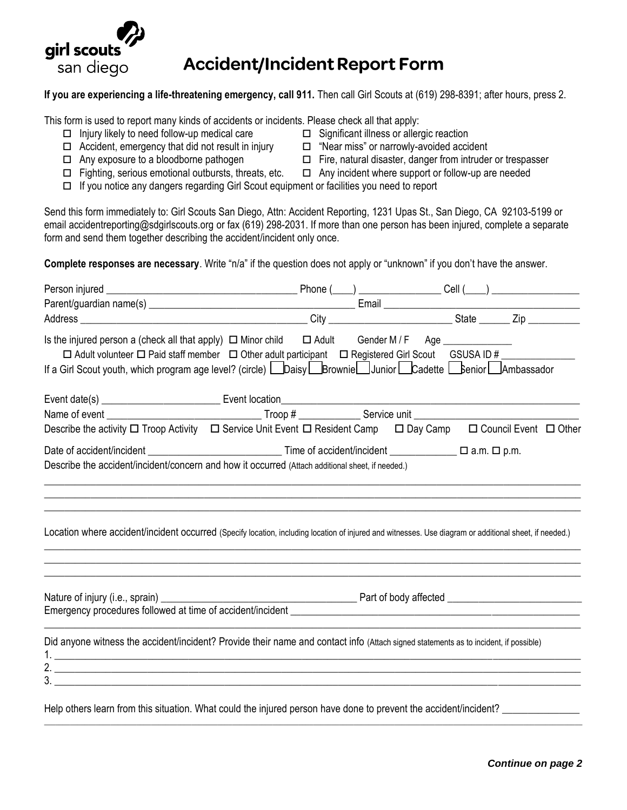

## **Accident/Incident Report Form**

## **If you are experiencing a life-threatening emergency, call 911.** Then call Girl Scouts at (619) 298-8391; after hours, press 2.

This form is used to report many kinds of accidents or incidents. Please check all that apply:

- $\Box$  Injury likely to need follow-up medical care  $\Box$  Significant illness or allergic reaction
- $\Box$  Accident, emergency that did not result in injury  $\Box$  "Near miss" or narrowly-avoided accident
- -
- $\Box$  Any exposure to a bloodborne pathogen  $\Box$  Fire, natural disaster, danger from intruder or trespasser
- $\Box$  Fighting, serious emotional outbursts, threats, etc.  $\Box$  Any incident where support or follow-up are needed
- If you notice any dangers regarding Girl Scout equipment or facilities you need to report

Send this form immediately to: Girl Scouts San Diego, Attn: Accident Reporting, 1231 Upas St., San Diego, CA 92103-5199 or email accidentreporting@sdgirlscouts.org or fax (619) 298-2031. If more than one person has been injured, complete a separate form and send them together describing the accident/incident only once.

**Complete responses are necessary**. Write "n/a" if the question does not apply or "unknown" if you don't have the answer.

| Is the injured person a (check all that apply) $\Box$ Minor child $\Box$ Adult Gender M / F Age ____________<br>□ Adult volunteer □ Paid staff member □ Other adult participant □ Registered Girl Scout GSUSA ID #<br>If a Girl Scout youth, which program age level? (circle) Lubersly Luber Brownie Luberior Luber Cadette Luberior Lubers Ambassador |                                                                                                                                                        |
|---------------------------------------------------------------------------------------------------------------------------------------------------------------------------------------------------------------------------------------------------------------------------------------------------------------------------------------------------------|--------------------------------------------------------------------------------------------------------------------------------------------------------|
|                                                                                                                                                                                                                                                                                                                                                         |                                                                                                                                                        |
|                                                                                                                                                                                                                                                                                                                                                         |                                                                                                                                                        |
|                                                                                                                                                                                                                                                                                                                                                         | Describe the activity □ Troop Activity □ Service Unit Event □ Resident Camp □ Day Camp □ Council Event □ Other                                         |
| Describe the accident/incident/concern and how it occurred (Attach additional sheet, if needed.)                                                                                                                                                                                                                                                        |                                                                                                                                                        |
|                                                                                                                                                                                                                                                                                                                                                         | Location where accident/incident occurred (Specify location, including location of injured and witnesses. Use diagram or additional sheet, if needed.) |
|                                                                                                                                                                                                                                                                                                                                                         |                                                                                                                                                        |
| Did anyone witness the accident/incident? Provide their name and contact info (Attach signed statements as to incident, if possible)                                                                                                                                                                                                                    |                                                                                                                                                        |
|                                                                                                                                                                                                                                                                                                                                                         |                                                                                                                                                        |
|                                                                                                                                                                                                                                                                                                                                                         |                                                                                                                                                        |

Help others learn from this situation. What could the injured person have done to prevent the accident/incident?

**\_\_\_\_\_\_\_\_\_\_\_\_\_\_\_\_\_\_\_\_\_\_\_\_\_\_\_\_\_\_\_\_\_\_\_\_\_\_\_\_\_\_\_\_\_\_\_\_\_\_\_\_\_\_\_\_\_\_\_\_\_\_\_\_\_\_\_\_\_\_\_\_\_\_\_\_\_\_\_\_\_\_\_\_\_\_\_\_\_\_\_\_\_\_\_\_\_\_\_\_\_\_\_\_\_\_\_\_\_\_\_\_\_\_\_\_\_\_\_\_\_\_\_\_\_\_\_\_\_\_\_\_\_\_\_\_\_\_\_\_\_\_\_\_\_\_**